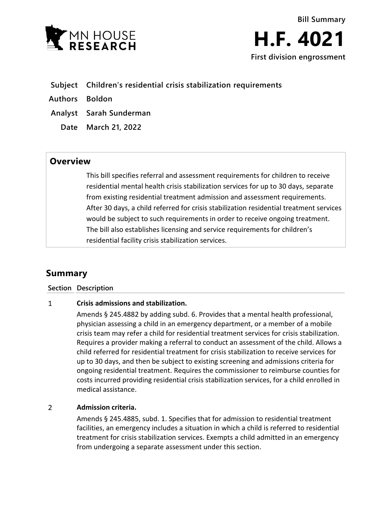

**Bill Summary H.F. 4021 First division engrossment**

- **Subject Children's residential crisis stabilization requirements**
- **Authors Boldon**
- **Analyst Sarah Sunderman**
	- **Date March 21, 2022**

## **Overview**

This bill specifies referral and assessment requirements for children to receive residential mental health crisis stabilization services for up to 30 days, separate from existing residential treatment admission and assessment requirements. After 30 days, a child referred for crisis stabilization residential treatment services would be subject to such requirements in order to receive ongoing treatment. The bill also establishes licensing and service requirements for children's residential facility crisis stabilization services.

# **Summary**

### **Section Description**

#### $\mathbf{1}$ **Crisis admissions and stabilization.**

Amends § 245.4882 by adding subd. 6. Provides that a mental health professional, physician assessing a child in an emergency department, or a member of a mobile crisis team may refer a child for residential treatment services for crisis stabilization. Requires a provider making a referral to conduct an assessment of the child. Allows a child referred for residential treatment for crisis stabilization to receive services for up to 30 days, and then be subject to existing screening and admissions criteria for ongoing residential treatment. Requires the commissioner to reimburse counties for costs incurred providing residential crisis stabilization services, for a child enrolled in medical assistance.

#### $\overline{2}$ **Admission criteria.**

Amends § 245.4885, subd. 1. Specifies that for admission to residential treatment facilities, an emergency includes a situation in which a child is referred to residential treatment for crisis stabilization services. Exempts a child admitted in an emergency from undergoing a separate assessment under this section.